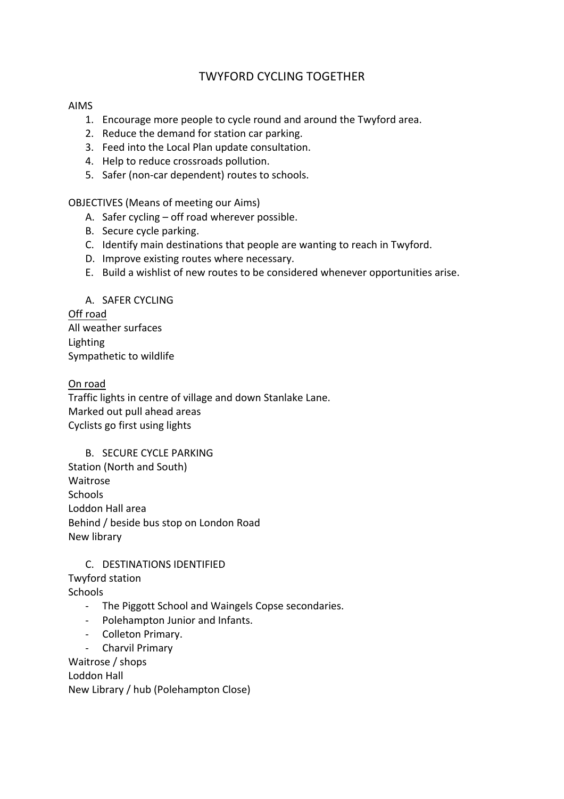# TWYFORD CYCLING TOGETHER

#### AIMS

- 1. Encourage more people to cycle round and around the Twyford area.
- 2. Reduce the demand for station car parking.
- 3. Feed into the Local Plan update consultation.
- 4. Help to reduce crossroads pollution.
- 5. Safer (non-car dependent) routes to schools.

OBJECTIVES (Means of meeting our Aims)

- A. Safer cycling  $-$  off road wherever possible.
- B. Secure cycle parking.
- C. Identify main destinations that people are wanting to reach in Twyford.
- D. Improve existing routes where necessary.
- E. Build a wishlist of new routes to be considered whenever opportunities arise.

#### A. SAFER CYCLING

Off road All weather surfaces Lighting Sympathetic to wildlife

### On road

Traffic lights in centre of village and down Stanlake Lane. Marked out pull ahead areas Cyclists go first using lights

#### B. SECURE CYCLE PARKING

Station (North and South) Waitrose **Schools** Loddon Hall area Behind / beside bus stop on London Road New library

### C. DESTINATIONS IDENTIFIED

Twyford station

**Schools** 

- The Piggott School and Waingels Copse secondaries.
- Polehampton Junior and Infants.
- Colleton Primary.
- Charvil Primary

Waitrose / shops

Loddon Hall New Library / hub (Polehampton Close)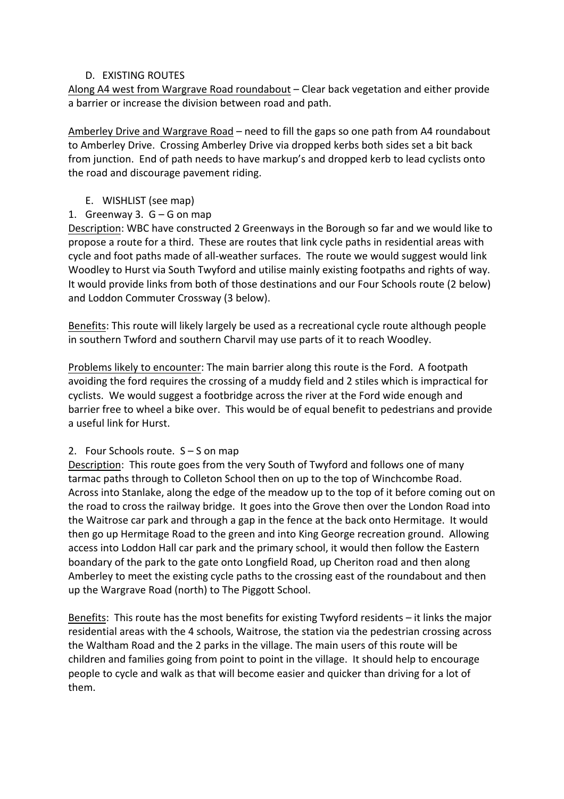### D. EXISTING ROUTES

Along A4 west from Wargrave Road roundabout – Clear back vegetation and either provide a barrier or increase the division between road and path.

Amberley Drive and Wargrave Road – need to fill the gaps so one path from A4 roundabout to Amberley Drive. Crossing Amberley Drive via dropped kerbs both sides set a bit back from junction. End of path needs to have markup's and dropped kerb to lead cyclists onto the road and discourage pavement riding.

- E. WISHLIST (see map)
- 1. Greenway 3.  $G G$  on map

Description: WBC have constructed 2 Greenways in the Borough so far and we would like to propose a route for a third. These are routes that link cycle paths in residential areas with cycle and foot paths made of all-weather surfaces. The route we would suggest would link Woodley to Hurst via South Twyford and utilise mainly existing footpaths and rights of way. It would provide links from both of those destinations and our Four Schools route (2 below) and Loddon Commuter Crossway (3 below).

Benefits: This route will likely largely be used as a recreational cycle route although people in southern Twford and southern Charvil may use parts of it to reach Woodley.

Problems likely to encounter: The main barrier along this route is the Ford. A footpath avoiding the ford requires the crossing of a muddy field and 2 stiles which is impractical for cyclists. We would suggest a footbridge across the river at the Ford wide enough and barrier free to wheel a bike over. This would be of equal benefit to pedestrians and provide a useful link for Hurst.

### 2. Four Schools route.  $S - S$  on map

Description: This route goes from the very South of Twyford and follows one of many tarmac paths through to Colleton School then on up to the top of Winchcombe Road. Across into Stanlake, along the edge of the meadow up to the top of it before coming out on the road to cross the railway bridge. It goes into the Grove then over the London Road into the Waitrose car park and through a gap in the fence at the back onto Hermitage. It would then go up Hermitage Road to the green and into King George recreation ground. Allowing access into Loddon Hall car park and the primary school, it would then follow the Eastern boandary of the park to the gate onto Longfield Road, up Cheriton road and then along Amberley to meet the existing cycle paths to the crossing east of the roundabout and then up the Wargrave Road (north) to The Piggott School.

Benefits: This route has the most benefits for existing Twyford residents  $-$  it links the major residential areas with the 4 schools, Waitrose, the station via the pedestrian crossing across the Waltham Road and the 2 parks in the village. The main users of this route will be children and families going from point to point in the village. It should help to encourage people to cycle and walk as that will become easier and quicker than driving for a lot of them.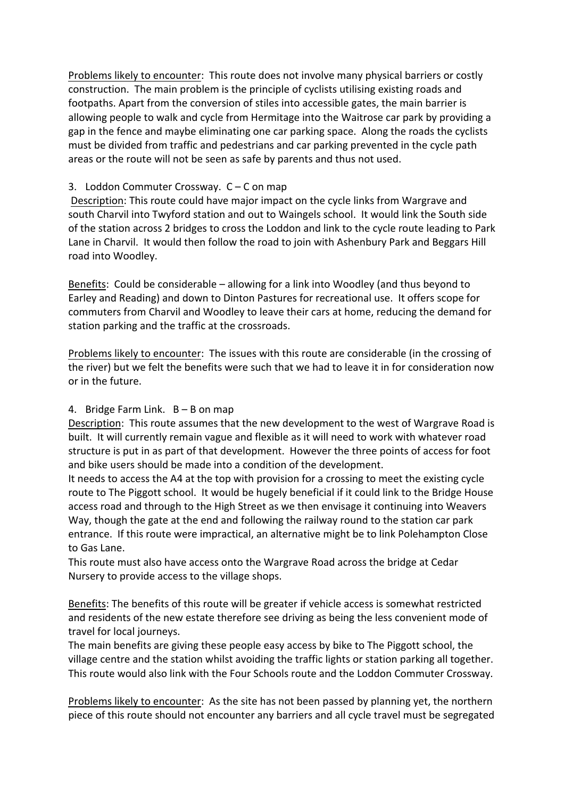Problems likely to encounter: This route does not involve many physical barriers or costly construction. The main problem is the principle of cyclists utilising existing roads and footpaths. Apart from the conversion of stiles into accessible gates, the main barrier is allowing people to walk and cycle from Hermitage into the Waitrose car park by providing a gap in the fence and maybe eliminating one car parking space. Along the roads the cyclists must be divided from traffic and pedestrians and car parking prevented in the cycle path areas or the route will not be seen as safe by parents and thus not used.

#### 3. Loddon Commuter Crossway.  $C - C$  on map

Description: This route could have major impact on the cycle links from Wargrave and south Charvil into Twyford station and out to Waingels school. It would link the South side of the station across 2 bridges to cross the Loddon and link to the cycle route leading to Park Lane in Charvil. It would then follow the road to join with Ashenbury Park and Beggars Hill road into Woodley.

Benefits: Could be considerable  $-$  allowing for a link into Woodley (and thus beyond to Earley and Reading) and down to Dinton Pastures for recreational use. It offers scope for commuters from Charvil and Woodley to leave their cars at home, reducing the demand for station parking and the traffic at the crossroads.

Problems likely to encounter: The issues with this route are considerable (in the crossing of the river) but we felt the benefits were such that we had to leave it in for consideration now or in the future.

### 4. Bridge Farm Link.  $B - B$  on map

Description: This route assumes that the new development to the west of Wargrave Road is built. It will currently remain vague and flexible as it will need to work with whatever road structure is put in as part of that development. However the three points of access for foot and bike users should be made into a condition of the development.

It needs to access the A4 at the top with provision for a crossing to meet the existing cycle route to The Piggott school. It would be hugely beneficial if it could link to the Bridge House access road and through to the High Street as we then envisage it continuing into Weavers Way, though the gate at the end and following the railway round to the station car park entrance. If this route were impractical, an alternative might be to link Polehampton Close to Gas Lane.

This route must also have access onto the Wargrave Road across the bridge at Cedar Nursery to provide access to the village shops.

Benefits: The benefits of this route will be greater if vehicle access is somewhat restricted and residents of the new estate therefore see driving as being the less convenient mode of travel for local journeys.

The main benefits are giving these people easy access by bike to The Piggott school, the village centre and the station whilst avoiding the traffic lights or station parking all together. This route would also link with the Four Schools route and the Loddon Commuter Crossway.

Problems likely to encounter: As the site has not been passed by planning yet, the northern piece of this route should not encounter any barriers and all cycle travel must be segregated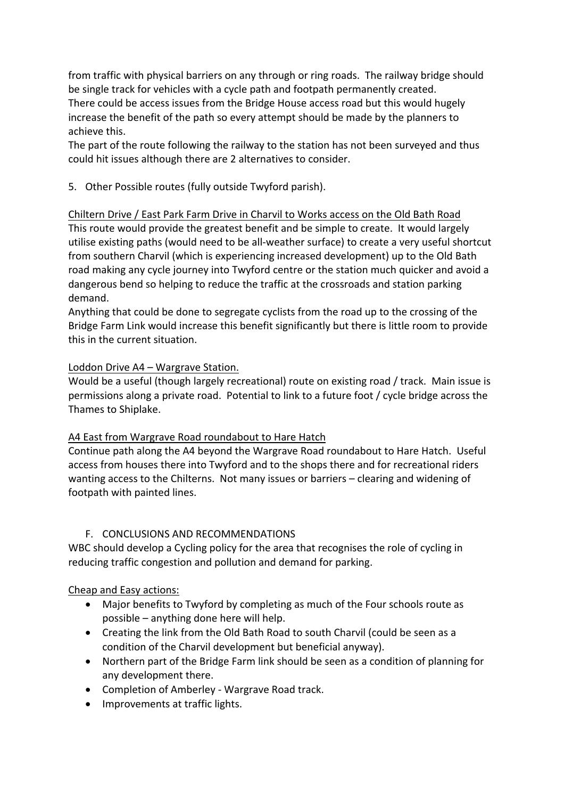from traffic with physical barriers on any through or ring roads. The railway bridge should be single track for vehicles with a cycle path and footpath permanently created. There could be access issues from the Bridge House access road but this would hugely increase the benefit of the path so every attempt should be made by the planners to achieve this.

The part of the route following the railway to the station has not been surveyed and thus could hit issues although there are 2 alternatives to consider.

5. Other Possible routes (fully outside Twyford parish).

Chiltern Drive / East Park Farm Drive in Charvil to Works access on the Old Bath Road This route would provide the greatest benefit and be simple to create. It would largely utilise existing paths (would need to be all-weather surface) to create a very useful shortcut from southern Charvil (which is experiencing increased development) up to the Old Bath road making any cycle journey into Twyford centre or the station much quicker and avoid a dangerous bend so helping to reduce the traffic at the crossroads and station parking demand.

Anything that could be done to segregate cyclists from the road up to the crossing of the Bridge Farm Link would increase this benefit significantly but there is little room to provide this in the current situation.

### Loddon Drive A4 - Wargrave Station.

Would be a useful (though largely recreational) route on existing road / track. Main issue is permissions along a private road. Potential to link to a future foot / cycle bridge across the Thames to Shiplake.

### A4 East from Wargrave Road roundabout to Hare Hatch

Continue path along the A4 beyond the Wargrave Road roundabout to Hare Hatch. Useful access from houses there into Twyford and to the shops there and for recreational riders wanting access to the Chilterns. Not many issues or barriers – clearing and widening of footpath with painted lines.

## F. CONCLUSIONS AND RECOMMENDATIONS

WBC should develop a Cycling policy for the area that recognises the role of cycling in reducing traffic congestion and pollution and demand for parking.

### Cheap and Easy actions:

- Major benefits to Twyford by completing as much of the Four schools route as possible  $-$  anything done here will help.
- Creating the link from the Old Bath Road to south Charvil (could be seen as a condition of the Charvil development but beneficial anyway).
- Northern part of the Bridge Farm link should be seen as a condition of planning for any development there.
- Completion of Amberley Wargrave Road track.
- Improvements at traffic lights.